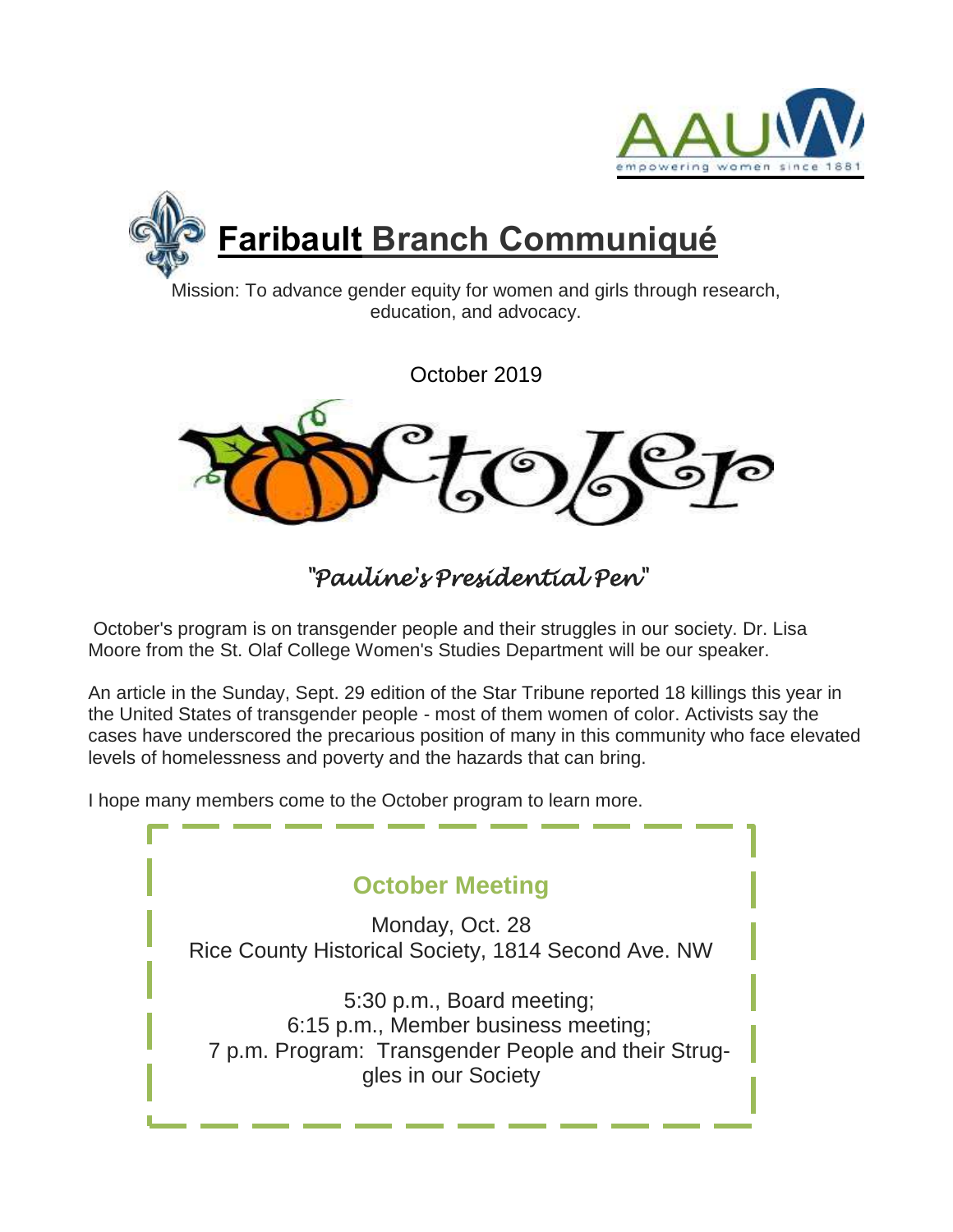



Mission: To advance gender equity for women and girls through research, education, and advocacy.

October 2019



*"Pauline's Presidential Pen"* 

October's program is on transgender people and their struggles in our society. Dr. Lisa Moore from the St. Olaf College Women's Studies Department will be our speaker.

An article in the Sunday, Sept. 29 edition of the Star Tribune reported 18 killings this year in the United States of transgender people - most of them women of color. Activists say the cases have underscored the precarious position of many in this community who face elevated levels of homelessness and poverty and the hazards that can bring.

I hope many members come to the October program to learn more.

**October Meeting**

Monday, Oct. 28 Rice County Historical Society, 1814 Second Ave. NW

5:30 p.m., Board meeting; 6:15 p.m., Member business meeting; 7 p.m. Program: Transgender People and their Struggles in our Society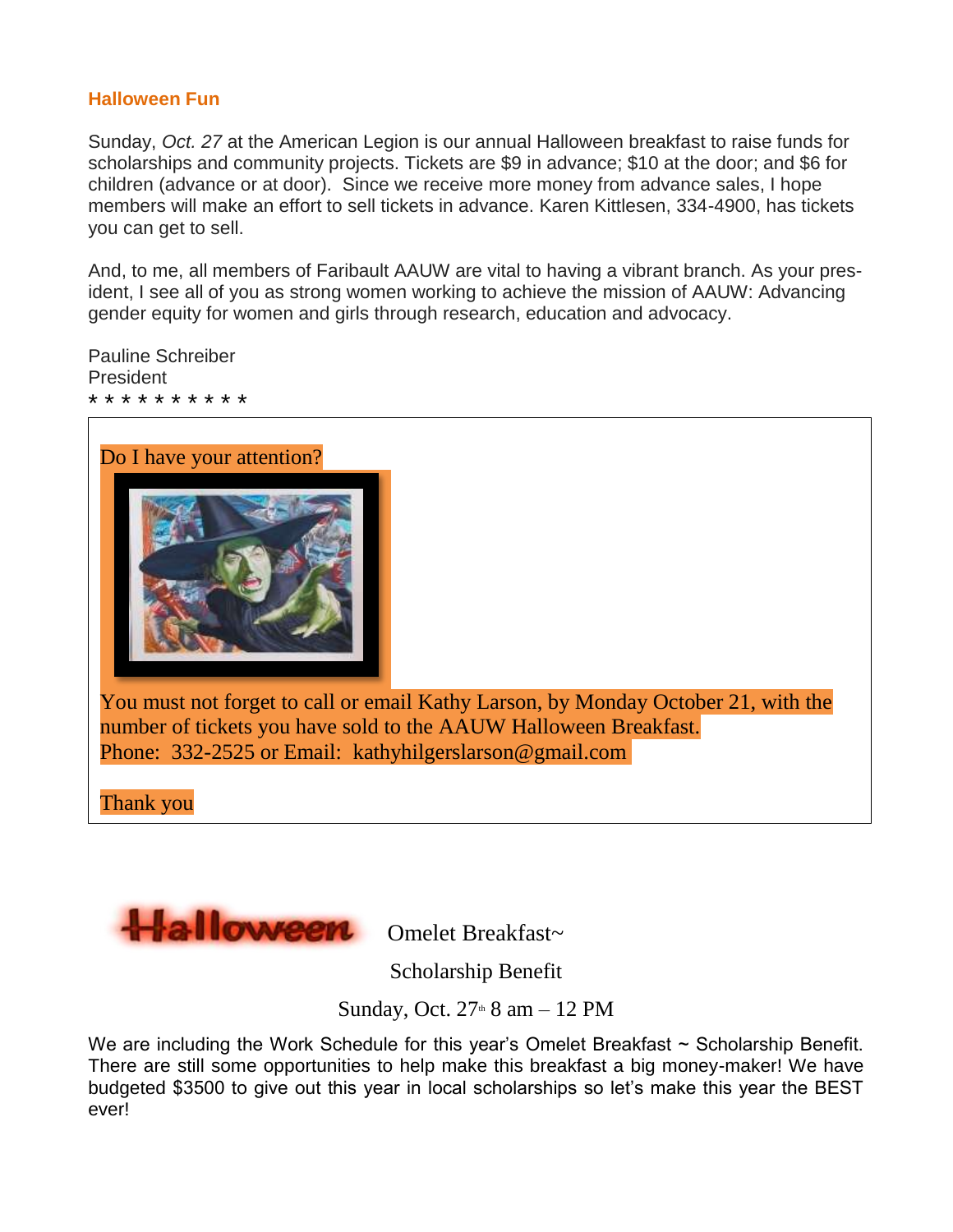#### **Halloween Fun**

Sunday, *Oct. 27* at the American Legion is our annual Halloween breakfast to raise funds for scholarships and community projects. Tickets are \$9 in advance; \$10 at the door; and \$6 for children (advance or at door). Since we receive more money from advance sales, I hope members will make an effort to sell tickets in advance. Karen Kittlesen, 334-4900, has tickets you can get to sell.

And, to me, all members of Faribault AAUW are vital to having a vibrant branch. As your president, I see all of you as strong women working to achieve the mission of AAUW: Advancing gender equity for women and girls through research, education and advocacy.

Pauline Schreiber President \* \* \* \* \* \* \* \* \* \*



You must not forget to call or email Kathy Larson, by Monday October 21, with the number of tickets you have sold to the AAUW Halloween Breakfast. Phone: 332-2525 or Email: [kathyhilgerslarson@gmail.com](mailto:kathyhilgerslarson@gmail.com)

Thank you



Scholarship Benefit

Sunday, Oct.  $27<sup>th</sup> 8$  am  $- 12$  PM

We are including the Work Schedule for this year's Omelet Breakfast ~ Scholarship Benefit. There are still some opportunities to help make this breakfast a big money-maker! We have budgeted \$3500 to give out this year in local scholarships so let's make this year the BEST ever!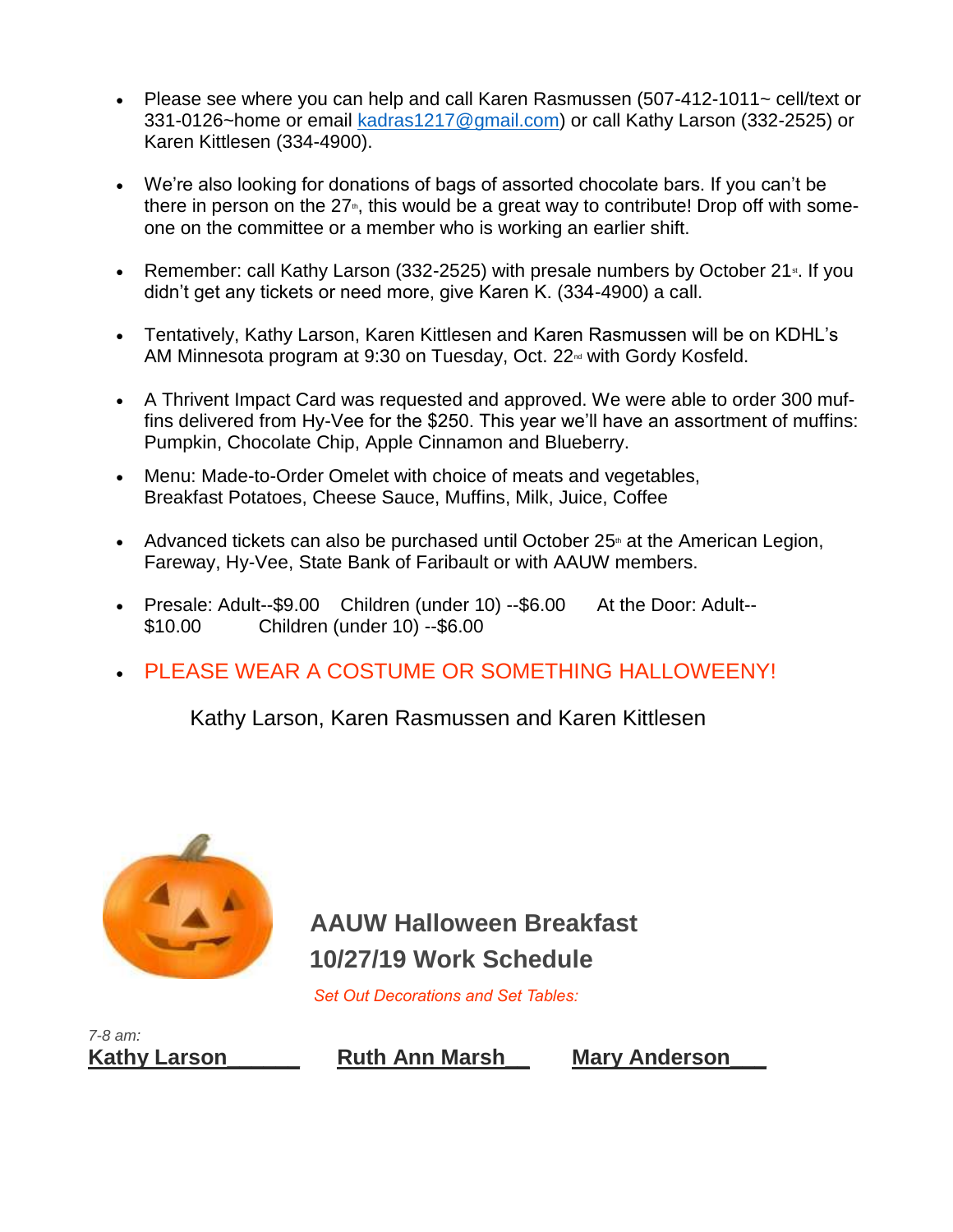- Please see where you can help and call Karen Rasmussen (507-412-1011~ cell/text or 331-0126~home or email [kadras1217@gmail.com\)](http://kadras1217@gmail.com) or call Kathy Larson (332-2525) or Karen Kittlesen (334-4900).
- We're also looking for donations of bags of assorted chocolate bars. If you can't be there in person on the  $27<sub>th</sub>$ , this would be a great way to contribute! Drop off with someone on the committee or a member who is working an earlier shift.
- Remember: call Kathy Larson (332-2525) with presale numbers by October 21 $\cdot$ . If you didn't get any tickets or need more, give Karen K. (334-4900) a call.
- Tentatively, Kathy Larson, Karen Kittlesen and Karen Rasmussen will be on KDHL's AM Minnesota program at 9:30 on Tuesday, Oct. 22<sup>nd</sup> with Gordy Kosfeld.
- A Thrivent Impact Card was requested and approved. We were able to order 300 muffins delivered from Hy-Vee for the \$250. This year we'll have an assortment of muffins: Pumpkin, Chocolate Chip, Apple Cinnamon and Blueberry.
- Menu: Made-to-Order Omelet with choice of meats and vegetables, Breakfast Potatoes, Cheese Sauce, Muffins, Milk, Juice, Coffee
- Advanced tickets can also be purchased until October  $25<sup>th</sup>$  at the American Legion, Fareway, Hy-Vee, State Bank of Faribault or with AAUW members.
- Presale: Adult--\$9.00 Children (under 10) --\$6.00 At the Door: Adult--\$10.00 Children (under 10) --\$6.00
- PLEASE WEAR A COSTUME OR SOMETHING HALLOWEENY!

Kathy Larson, Karen Rasmussen and Karen Kittlesen



**AAUW Halloween Breakfast 10/27/19 Work Schedule**

 *Set Out Decorations and Set Tables:*



**Kathy Larson\_\_\_\_\_\_ Ruth Ann Marsh\_\_ Mary Anderson\_\_\_**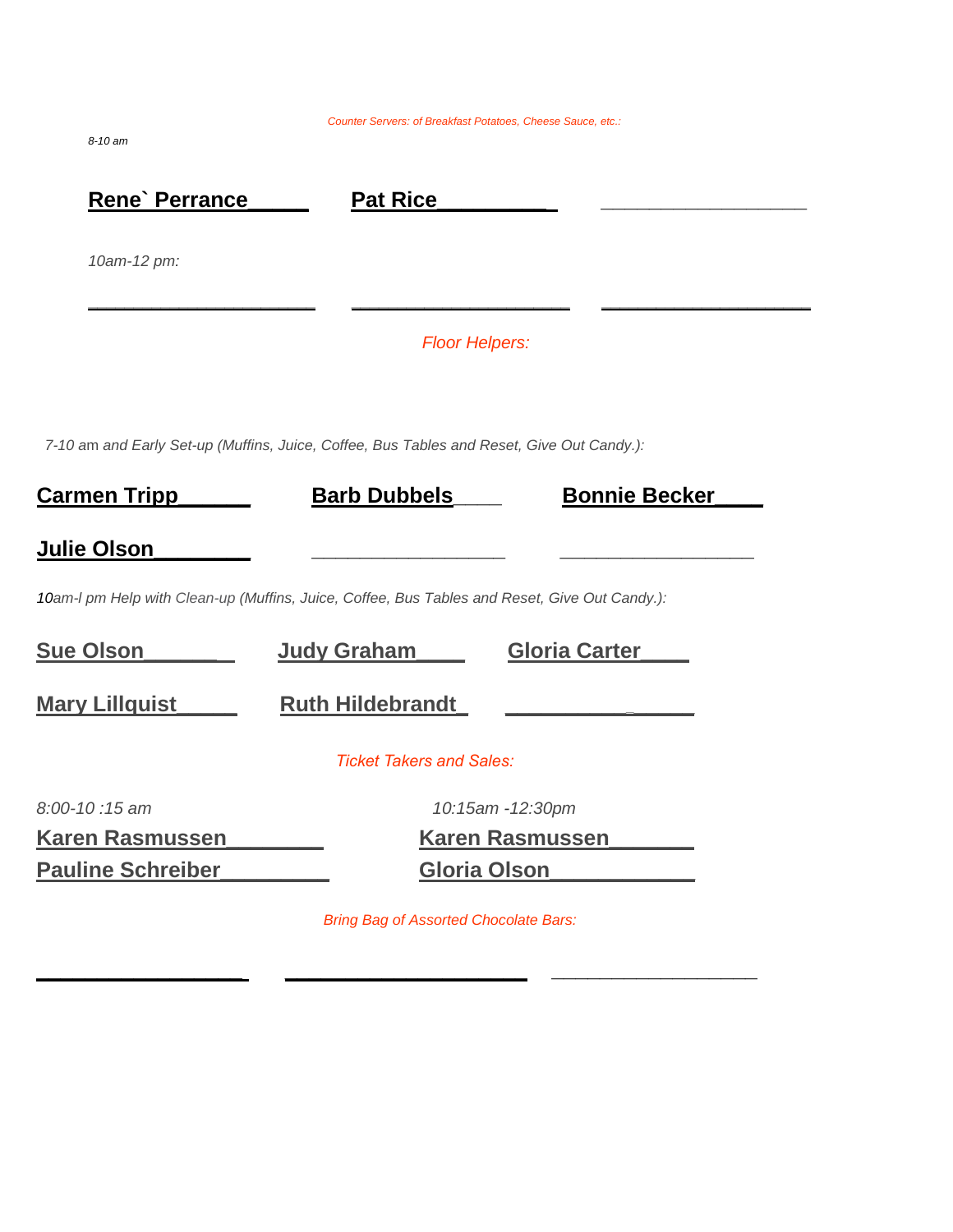*Counter Servers: of Breakfast Potatoes, Cheese Sauce, etc.:*

*8-10 am*

| Rene' Perrance           | <b>Pat Rice</b>                                                                               |                      |  |
|--------------------------|-----------------------------------------------------------------------------------------------|----------------------|--|
| 10am-12 pm:              |                                                                                               |                      |  |
|                          | <b>Floor Helpers:</b>                                                                         |                      |  |
|                          | 7-10 am and Early Set-up (Muffins, Juice, Coffee, Bus Tables and Reset, Give Out Candy.):     |                      |  |
| <u>Carmen Tripp</u>      | <b>Barb Dubbels</b>                                                                           | <b>Bonnie Becker</b> |  |
| <b>Julie Olson</b>       |                                                                                               |                      |  |
|                          | 10am-I pm Help with Clean-up (Muffins, Juice, Coffee, Bus Tables and Reset, Give Out Candy.): |                      |  |
| <b>Sue Olson</b>         | Judy Graham                                                                                   | <b>Gloria Carter</b> |  |
| <b>Mary Lillquist</b>    | <b>Ruth Hildebrandt</b>                                                                       |                      |  |
|                          | <b>Ticket Takers and Sales:</b>                                                               |                      |  |
| 8:00-10:15 am            | 10:15am -12:30pm                                                                              |                      |  |
| <b>Karen Rasmussen</b>   | <b>Karen Rasmussen</b>                                                                        |                      |  |
| <b>Pauline Schreiber</b> | Gloria Olson                                                                                  |                      |  |

*Bring Bag of Assorted Chocolate Bars:*

**\_\_\_\_\_\_\_\_\_\_\_\_\_\_\_\_\_ \_\_\_\_\_\_\_\_\_\_\_\_\_\_\_\_\_\_\_\_ \_\_\_\_\_\_\_\_\_\_\_\_\_\_\_\_\_**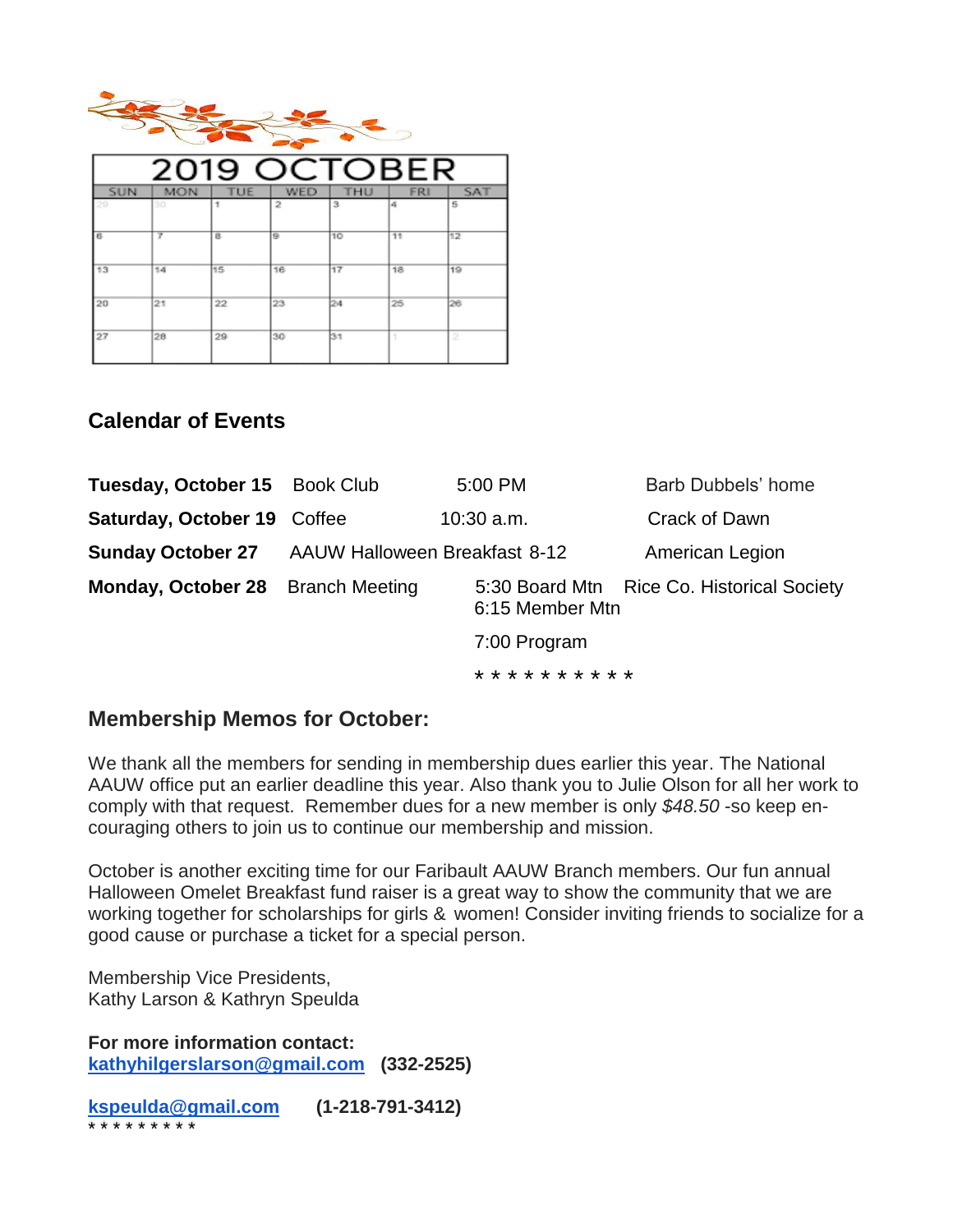

| 2019 OCTOBER |            |     |     |     |            |            |  |
|--------------|------------|-----|-----|-----|------------|------------|--|
| <b>SUN</b>   | <b>MON</b> | TUE | WED | THU | <b>FRI</b> | <b>SAT</b> |  |
| 29           | 30         |     | 2   | з   | a          | 5.         |  |
| в            | 7          | в.  | e   | 10  | 11         | 12         |  |
| 13           | 14         | 15  | 16  | 17  | 18         | 19         |  |
| 20           | 21         | 22  | 23  | 124 | 25         | 26         |  |
| 27           | 28         | 29  | 30  | 31  | ٠          | 2          |  |

### **Calendar of Events**

| Tuesday, October 15 Book Club     |                                      | 5:00 PM             | Barb Dubbels' home                         |  |
|-----------------------------------|--------------------------------------|---------------------|--------------------------------------------|--|
| Saturday, October 19 Coffee       |                                      | $10:30$ a.m.        | Crack of Dawn                              |  |
| <b>Sunday October 27</b>          | <b>AAUW Halloween Breakfast 8-12</b> |                     | American Legion                            |  |
| Monday, October 28 Branch Meeting |                                      | 6:15 Member Mtn     | 5:30 Board Mtn Rice Co. Historical Society |  |
|                                   | 7:00 Program                         |                     |                                            |  |
|                                   |                                      | * * * * * * * * * * |                                            |  |

### **Membership Memos for October:**

We thank all the members for sending in membership dues earlier this year. The National AAUW office put an earlier deadline this year. Also thank you to Julie Olson for all her work to comply with that request. Remember dues for a new member is only *\$48.50* -so keep encouraging others to join us to continue our membership and mission.

October is another exciting time for our Faribault AAUW Branch members. Our fun annual Halloween Omelet Breakfast fund raiser is a great way to show the community that we are working together for scholarships for girls & women! Consider inviting friends to socialize for a good cause or purchase a ticket for a special person.

Membership Vice Presidents, Kathy Larson & Kathryn Speulda

**For more information contact: [kathyhilgerslarson@gmail.com](mailto:kathyhilgerslarson@gmail.com) (332-2525)**

**[kspeulda@gmail.com](mailto:kspeulda@gmail.com) (1-218-791-3412)** \* \* \* \* \* \* \* \* \*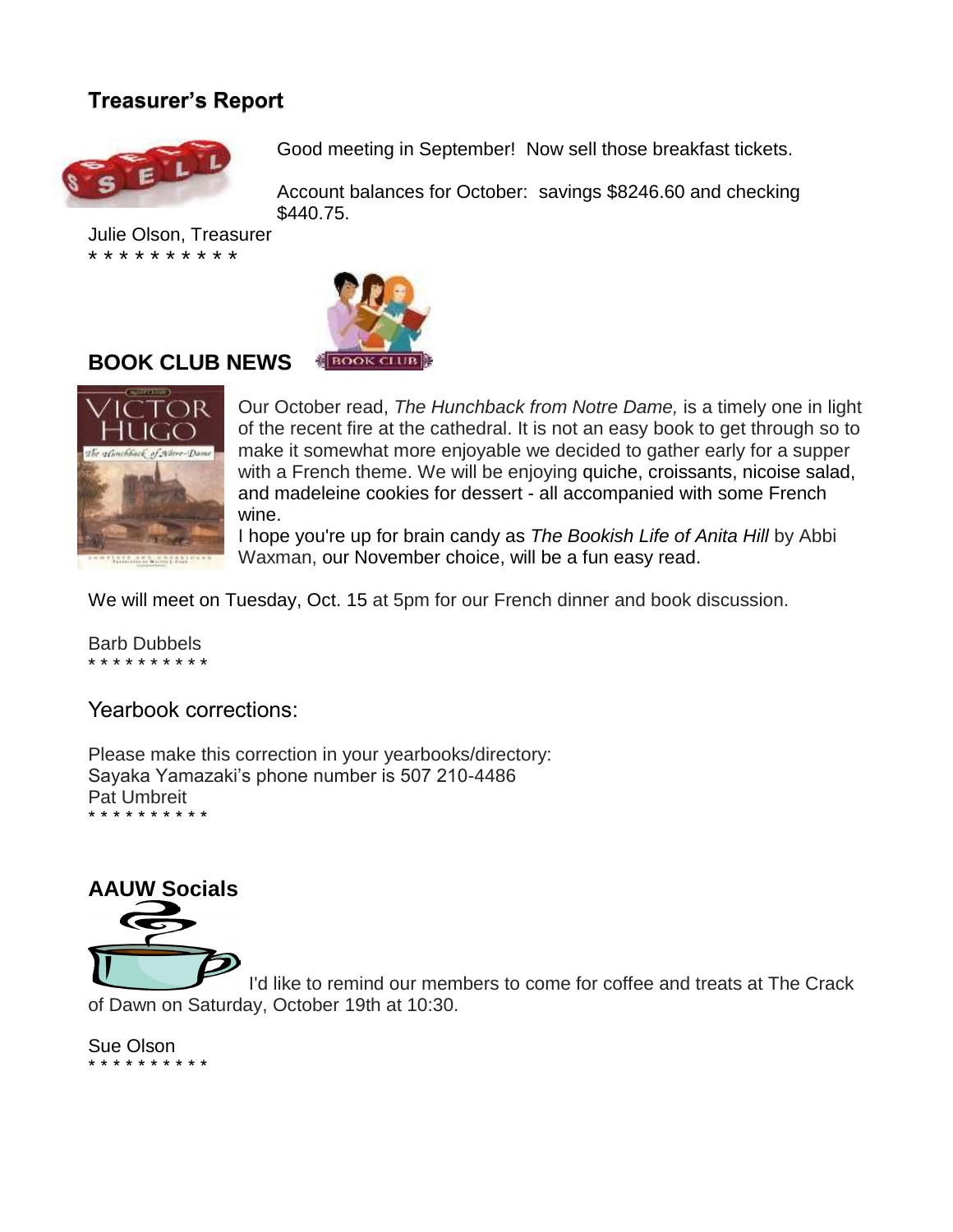# **Treasurer's Report**



Good meeting in September! Now sell those breakfast tickets.

Account balances for October: savings \$8246.60 and checking \$440.75.

Julie Olson, Treasurer \* \* \* \* \* \* \* \* \* \*



#### **BOOK CLUB NEWS**



Our October read, *The Hunchback from Notre Dame,* is a timely one in light of the recent fire at the cathedral. It is not an easy book to get through so to make it somewhat more enjoyable we decided to gather early for a supper with a French theme. We will be enjoying quiche, croissants, nicoise salad, and madeleine cookies for dessert - all accompanied with some French wine.

I hope you're up for brain candy as *The Bookish Life of Anita Hill* by Abbi Waxman, our November choice, will be a fun easy read.

We will meet on Tuesday, Oct. 15 at 5pm for our French dinner and book discussion.

Barb Dubbels \* \* \* \* \* \* \* \* \* \*

Yearbook corrections:

Please make this correction in your yearbooks/directory: Sayaka Yamazaki's phone number is 507 210-4486 Pat Umbreit \* \* \* \* \* \* \* \* \* \*



I'd like to remind our members to come for coffee and treats at The Crack of Dawn on Saturday, October 19th at 10:30.

Sue Olson \* \* \* \* \* \* \* \* \* \*